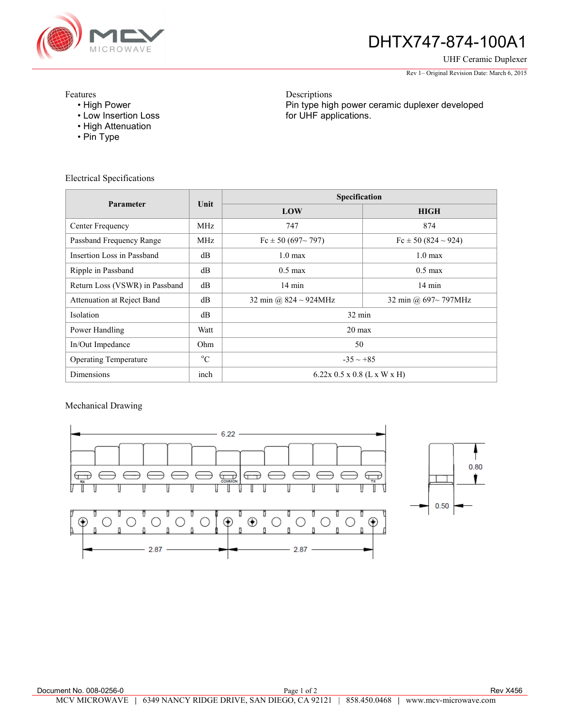

# DHTX747-874-100A1

Pin type high power ceramic duplexer developed

UHF Ceramic Duplexer

Rev 1– Original Revision Date: March 6, 2015

#### Features

- High Power
- Low Insertion Loss
- High Attenuation
- Pin Type

for UHF applications.

Descriptions

Electrical Specifications

| Parameter                      | Unit        | Specification                 |                           |
|--------------------------------|-------------|-------------------------------|---------------------------|
|                                |             | LOW                           | <b>HIGH</b>               |
| Center Frequency               | MHz.        | 747                           | 874                       |
| Passband Frequency Range       | MHz         | Fc $\pm$ 50 (697~797)         | $Fc \pm 50(824 \sim 924)$ |
| Insertion Loss in Passband     | dB          | $1.0 \text{ max}$             | $1.0 \text{ max}$         |
| Ripple in Passband             | dB          | $0.5 \text{ max}$             | $0.5 \text{ max}$         |
| Return Loss (VSWR) in Passband | dB          | $14 \text{ min}$              | $14 \text{ min}$          |
| Attenuation at Reject Band     | dB          | 32 min @ $824 \sim 924$ MHz   | 32 min @ 697~797MHz       |
| <b>Isolation</b>               | dB          | $32 \text{ min}$              |                           |
| Power Handling                 | Watt        | $20 \text{ max}$              |                           |
| In/Out Impedance               | Ohm.        | 50                            |                           |
| <b>Operating Temperature</b>   | $^{\circ}C$ | $-35 \sim +85$                |                           |
| <b>Dimensions</b>              | inch        | $6.22x$ 0.5 x 0.8 (L x W x H) |                           |

### Mechanical Drawing